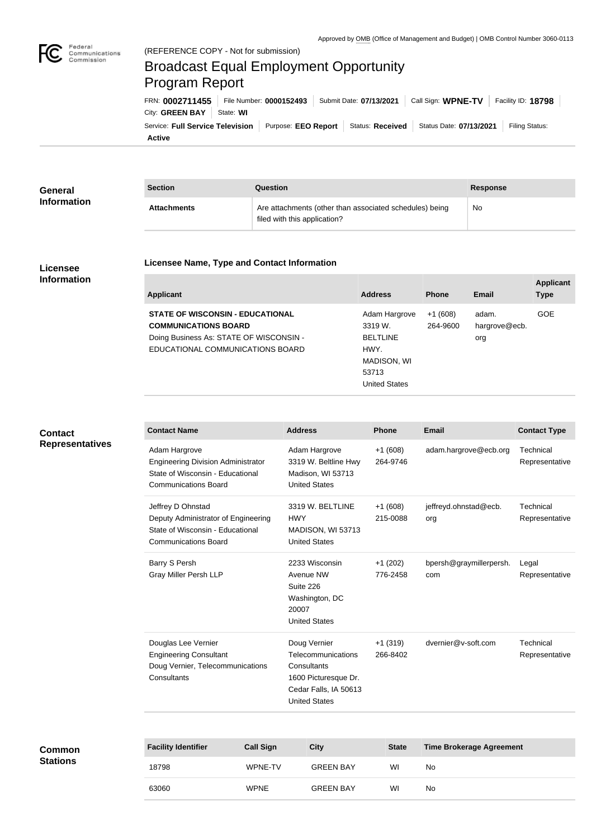

## Broadcast Equal Employment Opportunity Program Report

**Active** Service: Full Service Television | Purpose: EEO Report | Status: Received | Status Date: 07/13/2021 | Filing Status: City: **GREEN BAY** | State: WI FRN: **0002711455** File Number: **0000152493** Submit Date: **07/13/2021** Call Sign: **WPNE-TV** Facility ID: **18798**

| General<br><b>Information</b> | <b>Section</b>     | Question                                                                                | <b>Response</b> |
|-------------------------------|--------------------|-----------------------------------------------------------------------------------------|-----------------|
|                               | <b>Attachments</b> | Are attachments (other than associated schedules) being<br>filed with this application? | No              |

## **Licensee Information**

## **Licensee Name, Type and Contact Information**

| <b>Applicant</b>                                                                                                                                      | <b>Address</b>                                                                                      | <b>Phone</b>          | Email                         | <b>Applicant</b><br><b>Type</b> |
|-------------------------------------------------------------------------------------------------------------------------------------------------------|-----------------------------------------------------------------------------------------------------|-----------------------|-------------------------------|---------------------------------|
| <b>STATE OF WISCONSIN - EDUCATIONAL</b><br><b>COMMUNICATIONS BOARD</b><br>Doing Business As: STATE OF WISCONSIN -<br>EDUCATIONAL COMMUNICATIONS BOARD | Adam Hargrove<br>3319 W.<br><b>BELTLINE</b><br>HWY.<br>MADISON, WI<br>53713<br><b>United States</b> | $+1(608)$<br>264-9600 | adam.<br>hargrove@ecb.<br>org | <b>GOE</b>                      |
|                                                                                                                                                       |                                                                                                     |                       |                               |                                 |

## **Contact Representatives**

| <b>Contact Name</b>                                                                                                           | <b>Address</b>                                                                                                             | <b>Phone</b>          | <b>Email</b>                   | <b>Contact Type</b>         |
|-------------------------------------------------------------------------------------------------------------------------------|----------------------------------------------------------------------------------------------------------------------------|-----------------------|--------------------------------|-----------------------------|
| Adam Hargrove<br><b>Engineering Division Administrator</b><br>State of Wisconsin - Educational<br><b>Communications Board</b> | Adam Hargrove<br>3319 W. Beltline Hwy<br>Madison, WI 53713<br><b>United States</b>                                         | $+1(608)$<br>264-9746 | adam.hargrove@ecb.org          | Technical<br>Representative |
| Jeffrey D Ohnstad<br>Deputy Administrator of Engineering<br>State of Wisconsin - Educational<br><b>Communications Board</b>   | 3319 W. BELTLINE<br><b>HWY</b><br>MADISON, WI 53713<br><b>United States</b>                                                | $+1(608)$<br>215-0088 | jeffreyd.ohnstad@ecb.<br>org   | Technical<br>Representative |
| <b>Barry S Persh</b><br><b>Gray Miller Persh LLP</b>                                                                          | 2233 Wisconsin<br>Avenue NW<br>Suite 226<br>Washington, DC<br>20007<br><b>United States</b>                                | $+1(202)$<br>776-2458 | bpersh@graymillerpersh.<br>com | Legal<br>Representative     |
| Douglas Lee Vernier<br><b>Engineering Consultant</b><br>Doug Vernier, Telecommunications<br>Consultants                       | Doug Vernier<br>Telecommunications<br>Consultants<br>1600 Picturesque Dr.<br>Cedar Falls, IA 50613<br><b>United States</b> | $+1(319)$<br>266-8402 | dvernier@v-soft.com            | Technical<br>Representative |

| Common          |
|-----------------|
| <b>Stations</b> |

| <b>Facility Identifier</b> | <b>Call Sign</b> | <b>City</b>      | <b>State</b> | <b>Time Brokerage Agreement</b> |
|----------------------------|------------------|------------------|--------------|---------------------------------|
| 18798                      | WPNE-TV          | <b>GREEN BAY</b> | WI           | No.                             |
| 63060                      | <b>WPNE</b>      | <b>GREEN BAY</b> | WI           | No.                             |